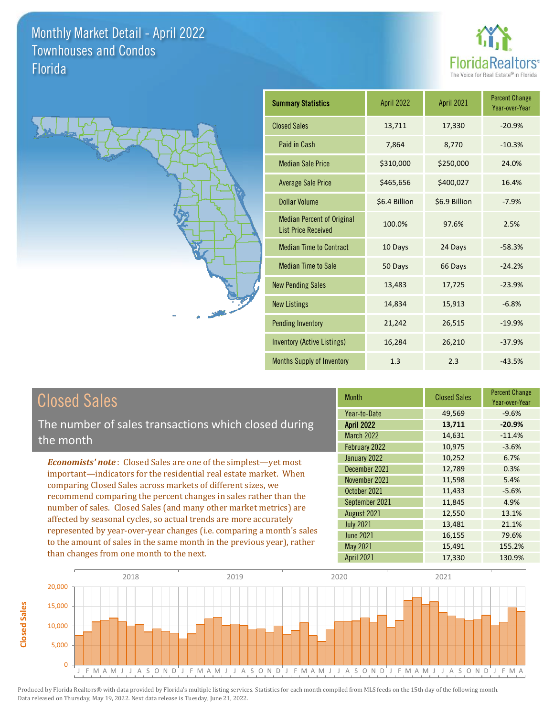**Closed Sales**

**Closed Sales** 





| <b>Summary Statistics</b>                                       | April 2022    | April 2021    | <b>Percent Change</b><br>Year-over-Year |
|-----------------------------------------------------------------|---------------|---------------|-----------------------------------------|
| <b>Closed Sales</b>                                             | 13,711        | 17,330        | $-20.9%$                                |
| Paid in Cash                                                    | 7,864         | 8,770         | $-10.3%$                                |
| <b>Median Sale Price</b>                                        | \$310,000     | \$250,000     | 24.0%                                   |
| <b>Average Sale Price</b>                                       | \$465,656     | \$400,027     | 16.4%                                   |
| <b>Dollar Volume</b>                                            | \$6.4 Billion | \$6.9 Billion | $-7.9%$                                 |
| <b>Median Percent of Original</b><br><b>List Price Received</b> | 100.0%        | 97.6%         | 2.5%                                    |
| <b>Median Time to Contract</b>                                  | 10 Days       | 24 Days       | $-58.3%$                                |
| <b>Median Time to Sale</b>                                      | 50 Days       | 66 Days       | $-24.2%$                                |
| <b>New Pending Sales</b>                                        | 13,483        | 17,725        | $-23.9%$                                |
| <b>New Listings</b>                                             | 14,834        | 15,913        | $-6.8%$                                 |
| <b>Pending Inventory</b>                                        | 21,242        | 26,515        | $-19.9%$                                |
| <b>Inventory (Active Listings)</b>                              | 16,284        | 26,210        | $-37.9%$                                |
| <b>Months Supply of Inventory</b>                               | 1.3           | 2.3           | $-43.5%$                                |

| <b>Closed Sales</b>                                                                                                                                                                                                                                                                                                                                                                                                                                                                                                                                                                                                      | <b>Month</b>                                                                         | <b>Closed Sales</b>                            | <b>Percent Change</b><br>Year-over-Year     |
|--------------------------------------------------------------------------------------------------------------------------------------------------------------------------------------------------------------------------------------------------------------------------------------------------------------------------------------------------------------------------------------------------------------------------------------------------------------------------------------------------------------------------------------------------------------------------------------------------------------------------|--------------------------------------------------------------------------------------|------------------------------------------------|---------------------------------------------|
| The number of sales transactions which closed during<br>the month                                                                                                                                                                                                                                                                                                                                                                                                                                                                                                                                                        | Year-to-Date<br><b>April 2022</b><br><b>March 2022</b><br>February 2022              | 49,569<br>13,711<br>14,631<br>10,975           | $-9.6%$<br>$-20.9%$<br>$-11.4%$<br>$-3.6%$  |
| <b>Economists' note:</b> Closed Sales are one of the simplest—yet most<br>important—indicators for the residential real estate market. When<br>comparing Closed Sales across markets of different sizes, we<br>recommend comparing the percent changes in sales rather than the<br>number of sales. Closed Sales (and many other market metrics) are<br>affected by seasonal cycles, so actual trends are more accurately<br>represented by year-over-year changes (i.e. comparing a month's sales<br>to the amount of sales in the same month in the previous year), rather<br>than changes from one month to the next. | January 2022<br>December 2021<br>November 2021<br>October 2021<br>September 2021     | 10,252<br>12,789<br>11,598<br>11,433<br>11,845 | 6.7%<br>0.3%<br>5.4%<br>$-5.6%$<br>4.9%     |
|                                                                                                                                                                                                                                                                                                                                                                                                                                                                                                                                                                                                                          | August 2021<br><b>July 2021</b><br><b>June 2021</b><br>May 2021<br><b>April 2021</b> | 12,550<br>13,481<br>16,155<br>15,491<br>17,330 | 13.1%<br>21.1%<br>79.6%<br>155.2%<br>130.9% |

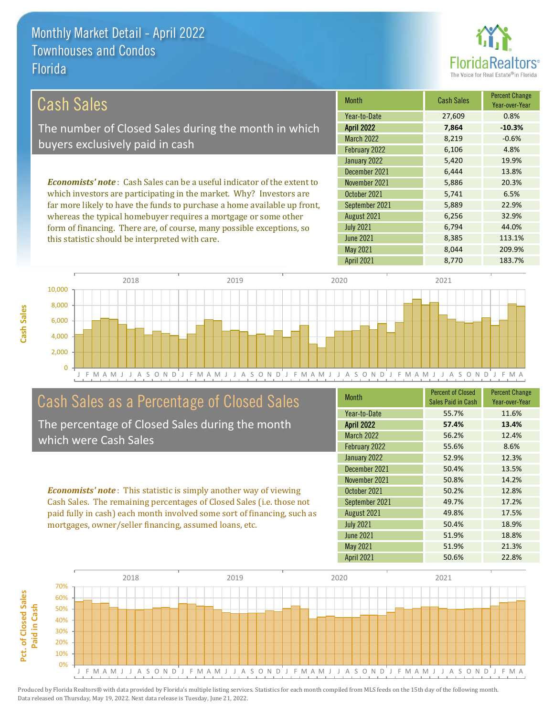

| Cash Sales                                                                     | <b>Month</b>      | <b>Cash Sales</b> | <b>Percent Change</b><br>Year-over-Year |
|--------------------------------------------------------------------------------|-------------------|-------------------|-----------------------------------------|
|                                                                                | Year-to-Date      | 27,609            | 0.8%                                    |
| The number of Closed Sales during the month in which                           | <b>April 2022</b> | 7.864             | $-10.3%$                                |
| buyers exclusively paid in cash                                                | <b>March 2022</b> | 8.219             | $-0.6%$                                 |
|                                                                                | February 2022     | 6,106             | 4.8%                                    |
|                                                                                | January 2022      | 5,420             | 19.9%                                   |
|                                                                                | December 2021     | 6.444             | 13.8%                                   |
| <b>Economists' note:</b> Cash Sales can be a useful indicator of the extent to | November 2021     | 5,886             | 20.3%                                   |
| which investors are participating in the market. Why? Investors are            | October 2021      | 5.741             | 6.5%                                    |
| far more likely to have the funds to purchase a home available up front,       | September 2021    | 5,889             | 22.9%                                   |
| whereas the typical homebuyer requires a mortgage or some other                | August 2021       | 6,256             | 32.9%                                   |
| form of financing. There are, of course, many possible exceptions, so          | <b>July 2021</b>  | 6.794             | 44.0%                                   |

this statistic should be interpreted with care.

**Cash Sales**

| ADIII ZUZZ        | 7,864 | -10.3%  |
|-------------------|-------|---------|
| <b>March 2022</b> | 8,219 | $-0.6%$ |
| February 2022     | 6,106 | 4.8%    |
| January 2022      | 5,420 | 19.9%   |
| December 2021     | 6,444 | 13.8%   |
| November 2021     | 5,886 | 20.3%   |
| October 2021      | 5,741 | 6.5%    |
| September 2021    | 5,889 | 22.9%   |
| August 2021       | 6,256 | 32.9%   |
| <b>July 2021</b>  | 6,794 | 44.0%   |
| <b>June 2021</b>  | 8,385 | 113.1%  |
| <b>May 2021</b>   | 8,044 | 209.9%  |
| <b>April 2021</b> | 8,770 | 183.7%  |
|                   |       |         |



### Cash Sales as a Percentage of Closed Sales

The percentage of Closed Sales during the month which were Cash Sales

*Economists' note* : This statistic is simply another way of viewing Cash Sales. The remaining percentages of Closed Sales (i.e. those not paid fully in cash) each month involved some sort of financing, such as mortgages, owner/seller financing, assumed loans, etc.

| <b>Month</b>      | <b>Percent of Closed</b><br>Sales Paid in Cash | <b>Percent Change</b><br>Year-over-Year |
|-------------------|------------------------------------------------|-----------------------------------------|
| Year-to-Date      | 55.7%                                          | 11.6%                                   |
| <b>April 2022</b> | 57.4%                                          | 13.4%                                   |
| <b>March 2022</b> | 56.2%                                          | 12.4%                                   |
| February 2022     | 55.6%                                          | 8.6%                                    |
| January 2022      | 52.9%                                          | 12.3%                                   |
| December 2021     | 50.4%                                          | 13.5%                                   |
| November 2021     | 50.8%                                          | 14.2%                                   |
| October 2021      | 50.2%                                          | 12.8%                                   |
| September 2021    | 49.7%                                          | 17.2%                                   |
| August 2021       | 49.8%                                          | 17.5%                                   |
| <b>July 2021</b>  | 50.4%                                          | 18.9%                                   |
| <b>June 2021</b>  | 51.9%                                          | 18.8%                                   |
| May 2021          | 51.9%                                          | 21.3%                                   |
| <b>April 2021</b> | 50.6%                                          | 22.8%                                   |

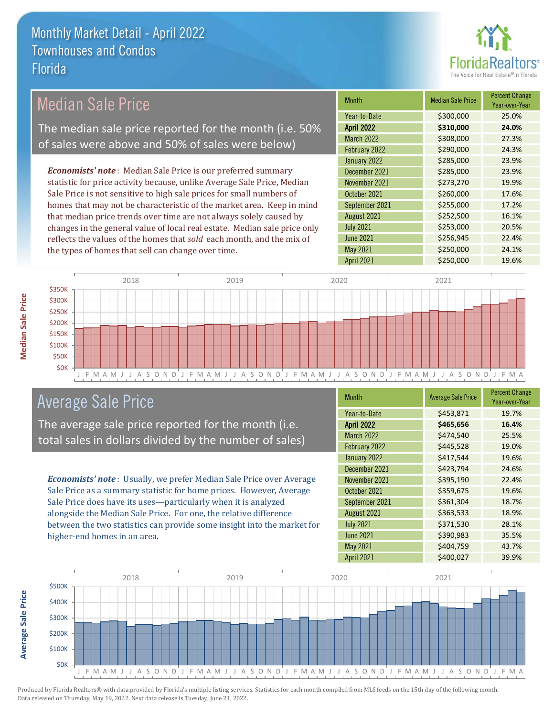

| <b>Median Sale Price</b>                                                  | <b>Month</b>      | <b>Median Sale Price</b> | <b>Percent Change</b><br>Year-over-Year |
|---------------------------------------------------------------------------|-------------------|--------------------------|-----------------------------------------|
|                                                                           | Year-to-Date      | \$300,000                | 25.0%                                   |
| The median sale price reported for the month (i.e. 50%                    | <b>April 2022</b> | \$310,000                | 24.0%                                   |
|                                                                           | <b>March 2022</b> | \$308,000                | 27.3%                                   |
| of sales were above and 50% of sales were below)                          | February 2022     | \$290,000                | 24.3%                                   |
|                                                                           | January 2022      | \$285,000                | 23.9%                                   |
| <b>Economists' note:</b> Median Sale Price is our preferred summary       | December 2021     | \$285,000                | 23.9%                                   |
| statistic for price activity because, unlike Average Sale Price, Median   | November 2021     | \$273,270                | 19.9%                                   |
| Sale Price is not sensitive to high sale prices for small numbers of      | October 2021      | \$260,000                | 17.6%                                   |
| homes that may not be characteristic of the market area. Keep in mind     | September 2021    | \$255,000                | 17.2%                                   |
| that median price trends over time are not always solely caused by        | August 2021       | \$252,500                | 16.1%                                   |
| changes in the general value of local real estate. Median sale price only | <b>July 2021</b>  | \$253,000                | 20.5%                                   |
| reflects the values of the homes that sold each month, and the mix of     | <b>June 2021</b>  | \$256,945                | 22.4%                                   |
| the types of homes that sell can change over time.                        | May 2021          | \$250,000                | 24.1%                                   |



## Average Sale Price

The average sale price reported for the month (i.e. total sales in dollars divided by the number of sales)

*Economists' note* : Usually, we prefer Median Sale Price over Average Sale Price as a summary statistic for home prices. However, Average Sale Price does have its uses—particularly when it is analyzed alongside the Median Sale Price. For one, the relative difference between the two statistics can provide some insight into the market for higher-end homes in an area.

| <b>Month</b>      | <b>Average Sale Price</b> | <b>Percent Change</b><br>Year-over-Year |
|-------------------|---------------------------|-----------------------------------------|
| Year-to-Date      | \$453,871                 | 19.7%                                   |
| <b>April 2022</b> | \$465,656                 | 16.4%                                   |
| <b>March 2022</b> | \$474,540                 | 25.5%                                   |
| February 2022     | \$445,528                 | 19.0%                                   |
| January 2022      | \$417,544                 | 19.6%                                   |
| December 2021     | \$423,794                 | 24.6%                                   |
| November 2021     | \$395,190                 | 22.4%                                   |
| October 2021      | \$359,675                 | 19.6%                                   |
| September 2021    | \$361,304                 | 18.7%                                   |
| August 2021       | \$363,533                 | 18.9%                                   |
| <b>July 2021</b>  | \$371,530                 | 28.1%                                   |
| <b>June 2021</b>  | \$390,983                 | 35.5%                                   |
| May 2021          | \$404,759                 | 43.7%                                   |
| April 2021        | \$400,027                 | 39.9%                                   |

April 2021 \$250,000 19.6%



Produced by Florida Realtors® with data provided by Florida's multiple listing services. Statistics for each month compiled from MLS feeds on the 15th day of the following month. Data released on Thursday, May 19, 2022. Next data release is Tuesday, June 21, 2022.

**Average Sale Price**

**Average Sale Price**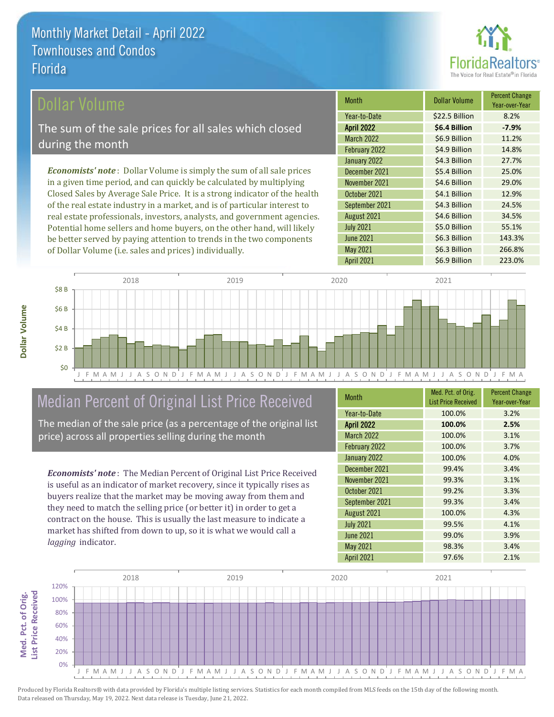

### Dollar Volume

The sum of the sale prices for all sales which closed during the month

*Economists' note* : Dollar Volume is simply the sum of all sale prices in a given time period, and can quickly be calculated by multiplying Closed Sales by Average Sale Price. It is a strong indicator of the health of the real estate industry in a market, and is of particular interest to real estate professionals, investors, analysts, and government agencies. Potential home sellers and home buyers, on the other hand, will likely be better served by paying attention to trends in the two components of Dollar Volume (i.e. sales and prices) individually.

| <b>Month</b>      | Dollar Volume  | <b>Percent Change</b><br>Year-over-Year |
|-------------------|----------------|-----------------------------------------|
| Year-to-Date      | \$22.5 Billion | 8.2%                                    |
| <b>April 2022</b> | \$6.4 Billion  | $-7.9%$                                 |
| <b>March 2022</b> | \$6.9 Billion  | 11.2%                                   |
| February 2022     | \$4.9 Billion  | 14.8%                                   |
| January 2022      | \$4.3 Billion  | 27.7%                                   |
| December 2021     | \$5.4 Billion  | 25.0%                                   |
| November 2021     | \$4.6 Billion  | 29.0%                                   |
| October 2021      | \$4.1 Billion  | 12.9%                                   |
| September 2021    | \$4.3 Billion  | 24.5%                                   |
| August 2021       | \$4.6 Billion  | 34.5%                                   |
| <b>July 2021</b>  | \$5.0 Billion  | 55.1%                                   |
| <b>June 2021</b>  | \$6.3 Billion  | 143.3%                                  |
| May 2021          | \$6.3 Billion  | 266.8%                                  |
| April 2021        | \$6.9 Billion  | 223.0%                                  |



## Median Percent of Original List Price Received

The median of the sale price (as a percentage of the original list price) across all properties selling during the month

*Economists' note* : The Median Percent of Original List Price Received is useful as an indicator of market recovery, since it typically rises as buyers realize that the market may be moving away from them and they need to match the selling price (or better it) in order to get a contract on the house. This is usually the last measure to indicate a market has shifted from down to up, so it is what we would call a *lagging* indicator.

| <b>Month</b>      | Med. Pct. of Orig.         | <b>Percent Change</b> |
|-------------------|----------------------------|-----------------------|
|                   | <b>List Price Received</b> | Year-over-Year        |
| Year-to-Date      | 100.0%                     | 3.2%                  |
| <b>April 2022</b> | 100.0%                     | 2.5%                  |
| <b>March 2022</b> | 100.0%                     | 3.1%                  |
| February 2022     | 100.0%                     | 3.7%                  |
| January 2022      | 100.0%                     | 4.0%                  |
| December 2021     | 99.4%                      | 3.4%                  |
| November 2021     | 99.3%                      | 3.1%                  |
| October 2021      | 99.2%                      | 3.3%                  |
| September 2021    | 99.3%                      | 3.4%                  |
| August 2021       | 100.0%                     | 4.3%                  |
| <b>July 2021</b>  | 99.5%                      | 4.1%                  |
| <b>June 2021</b>  | 99.0%                      | 3.9%                  |
| May 2021          | 98.3%                      | 3.4%                  |
| <b>April 2021</b> | 97.6%                      | 2.1%                  |

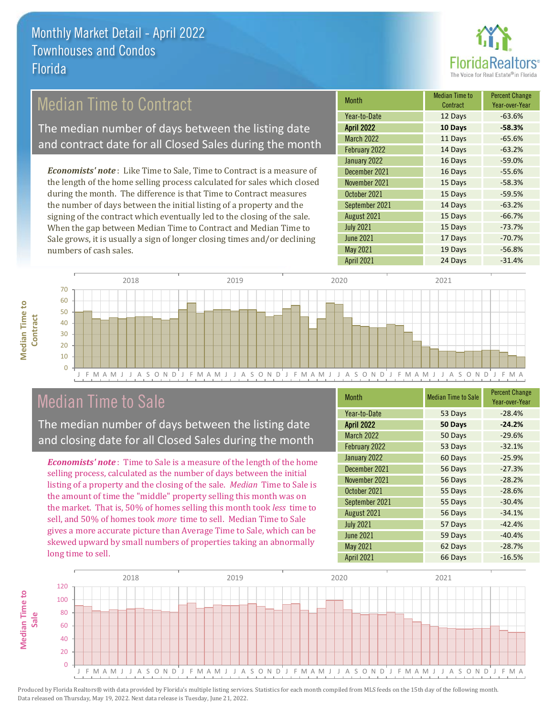

### Median Time to Contract

The median number of days between the listing date and contract date for all Closed Sales during the month

*Economists' note* : Like Time to Sale, Time to Contract is a measure of the length of the home selling process calculated for sales which closed during the month. The difference is that Time to Contract measures the number of days between the initial listing of a property and the signing of the contract which eventually led to the closing of the sale. When the gap between Median Time to Contract and Median Time to Sale grows, it is usually a sign of longer closing times and/or declining numbers of cash sales.

| Month             | <b>Median Time to</b><br>Contract | <b>Percent Change</b><br>Year-over-Year |
|-------------------|-----------------------------------|-----------------------------------------|
| Year-to-Date      | 12 Days                           | $-63.6%$                                |
| <b>April 2022</b> | 10 Days                           | $-58.3%$                                |
| <b>March 2022</b> | 11 Days                           | $-65.6%$                                |
| February 2022     | 14 Days                           | $-63.2%$                                |
| January 2022      | 16 Days                           | $-59.0%$                                |
| December 2021     | 16 Days                           | $-55.6%$                                |
| November 2021     | 15 Days                           | $-58.3%$                                |
| October 2021      | 15 Days                           | $-59.5%$                                |
| September 2021    | 14 Days                           | $-63.2%$                                |
| August 2021       | 15 Days                           | $-66.7%$                                |
| <b>July 2021</b>  | 15 Days                           | $-73.7%$                                |
| <b>June 2021</b>  | 17 Days                           | $-70.7%$                                |
| May 2021          | 19 Days                           | $-56.8%$                                |
| April 2021        | 24 Days                           | $-31.4%$                                |



### Median Time to Sale

**Median Time to** 

**Median Time to** 

The median number of days between the listing date and closing date for all Closed Sales during the month

*Economists' note* : Time to Sale is a measure of the length of the home selling process, calculated as the number of days between the initial listing of a property and the closing of the sale. *Median* Time to Sale is the amount of time the "middle" property selling this month was on the market. That is, 50% of homes selling this month took *less* time to sell, and 50% of homes took *more* time to sell. Median Time to Sale gives a more accurate picture than Average Time to Sale, which can be skewed upward by small numbers of properties taking an abnormally long time to sell.

| <b>Month</b>      | <b>Median Time to Sale</b> | <b>Percent Change</b><br>Year-over-Year |
|-------------------|----------------------------|-----------------------------------------|
| Year-to-Date      | 53 Days                    | $-28.4%$                                |
| <b>April 2022</b> | 50 Days                    | $-24.2%$                                |
| <b>March 2022</b> | 50 Days                    | $-29.6%$                                |
| February 2022     | 53 Days                    | $-32.1%$                                |
| January 2022      | 60 Days                    | $-25.9%$                                |
| December 2021     | 56 Days                    | $-27.3%$                                |
| November 2021     | 56 Days                    | $-28.2%$                                |
| October 2021      | 55 Days                    | $-28.6%$                                |
| September 2021    | 55 Days                    | $-30.4%$                                |
| August 2021       | 56 Days                    | $-34.1%$                                |
| <b>July 2021</b>  | 57 Days                    | $-42.4%$                                |
| <b>June 2021</b>  | 59 Days                    | $-40.4%$                                |
| May 2021          | 62 Days                    | $-28.7%$                                |
| <b>April 2021</b> | 66 Days                    | $-16.5%$                                |

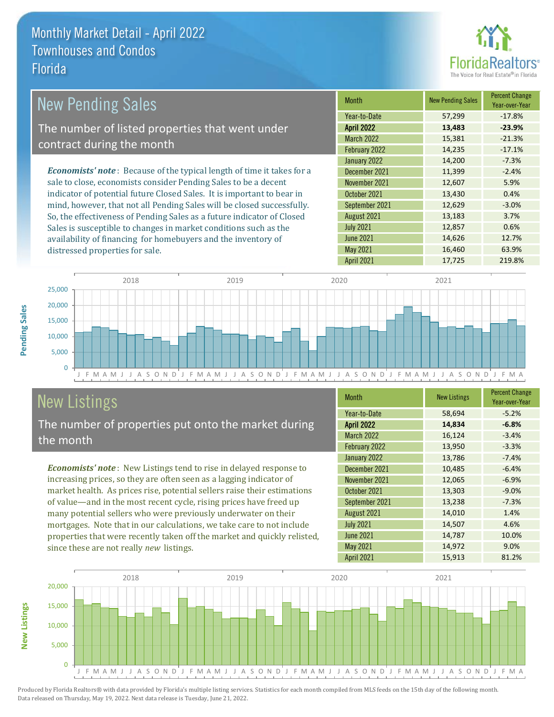distressed properties for sale.



| New Pending Sales                                                              | <b>Month</b>      | <b>New Pending Sales</b> | <b>Percent Change</b><br>Year-over-Year |
|--------------------------------------------------------------------------------|-------------------|--------------------------|-----------------------------------------|
|                                                                                | Year-to-Date      | 57,299                   | $-17.8%$                                |
| The number of listed properties that went under                                | <b>April 2022</b> | 13,483                   | $-23.9%$                                |
| contract during the month                                                      | <b>March 2022</b> | 15,381                   | $-21.3%$                                |
|                                                                                | February 2022     | 14,235                   | $-17.1%$                                |
|                                                                                | January 2022      | 14,200                   | $-7.3%$                                 |
| <b>Economists' note</b> : Because of the typical length of time it takes for a | December 2021     | 11.399                   | $-2.4%$                                 |
| sale to close, economists consider Pending Sales to be a decent                | November 2021     | 12,607                   | 5.9%                                    |
| indicator of potential future Closed Sales. It is important to bear in         | October 2021      | 13,430                   | 0.4%                                    |
| mind, however, that not all Pending Sales will be closed successfully.         | September 2021    | 12,629                   | $-3.0%$                                 |
| So, the effectiveness of Pending Sales as a future indicator of Closed         | August 2021       | 13,183                   | 3.7%                                    |
| Sales is susceptible to changes in market conditions such as the               | <b>July 2021</b>  | 12,857                   | 0.6%                                    |
| availability of financing for homebuyers and the inventory of                  | June 2021         | 14,626                   | 12.7%                                   |



## New Listings

The number of properties put onto the market during the month

availability of financing for homebuyers and the inventory of

*Economists' note* : New Listings tend to rise in delayed response to increasing prices, so they are often seen as a lagging indicator of market health. As prices rise, potential sellers raise their estimations of value—and in the most recent cycle, rising prices have freed up many potential sellers who were previously underwater on their mortgages. Note that in our calculations, we take care to not include properties that were recently taken off the market and quickly relisted, since these are not really *new* listings.

| <b>Month</b>      | <b>New Listings</b> | <b>Percent Change</b><br>Year-over-Year |
|-------------------|---------------------|-----------------------------------------|
| Year-to-Date      | 58,694              | $-5.2%$                                 |
| <b>April 2022</b> | 14,834              | $-6.8%$                                 |
| <b>March 2022</b> | 16,124              | $-3.4%$                                 |
| February 2022     | 13,950              | $-3.3%$                                 |
| January 2022      | 13,786              | $-7.4%$                                 |
| December 2021     | 10,485              | $-6.4%$                                 |
| November 2021     | 12,065              | $-6.9%$                                 |
| October 2021      | 13,303              | $-9.0%$                                 |
| September 2021    | 13,238              | $-7.3%$                                 |
| August 2021       | 14,010              | 1.4%                                    |
| <b>July 2021</b>  | 14,507              | 4.6%                                    |
| <b>June 2021</b>  | 14,787              | 10.0%                                   |
| May 2021          | 14,972              | 9.0%                                    |
| <b>April 2021</b> | 15,913              | 81.2%                                   |

May 2021 16,460 63.9%



Produced by Florida Realtors® with data provided by Florida's multiple listing services. Statistics for each month compiled from MLS feeds on the 15th day of the following month. Data released on Thursday, May 19, 2022. Next data release is Tuesday, June 21, 2022.

**New Listings**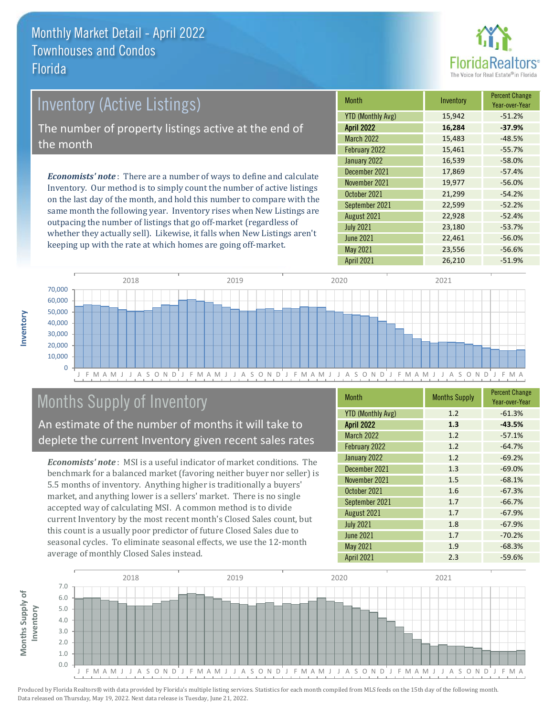

# Inventory (Active Listings) The number of property listings active at the end of the month

*Economists' note* : There are a number of ways to define and calculate Inventory. Our method is to simply count the number of active listings on the last day of the month, and hold this number to compare with the same month the following year. Inventory rises when New Listings are outpacing the number of listings that go off-market (regardless of whether they actually sell). Likewise, it falls when New Listings aren't keeping up with the rate at which homes are going off-market.

| <b>Month</b>             | Inventory | <b>Percent Change</b><br>Year-over-Year |
|--------------------------|-----------|-----------------------------------------|
| <b>YTD (Monthly Avg)</b> | 15,942    | $-51.2%$                                |
| <b>April 2022</b>        | 16,284    | $-37.9%$                                |
| <b>March 2022</b>        | 15,483    | $-48.5%$                                |
| February 2022            | 15,461    | $-55.7%$                                |
| January 2022             | 16,539    | $-58.0%$                                |
| December 2021            | 17,869    | $-57.4%$                                |
| November 2021            | 19,977    | $-56.0%$                                |
| October 2021             | 21,299    | $-54.2%$                                |
| September 2021           | 22,599    | $-52.2%$                                |
| August 2021              | 22,928    | $-52.4%$                                |
| <b>July 2021</b>         | 23,180    | $-53.7%$                                |
| <b>June 2021</b>         | 22,461    | $-56.0%$                                |
| May 2021                 | 23,556    | $-56.6%$                                |
| <b>April 2021</b>        | 26,210    | $-51.9%$                                |



## Months Supply of Inventory

An estimate of the number of months it will take to deplete the current Inventory given recent sales rates

*Economists' note* : MSI is a useful indicator of market conditions. The benchmark for a balanced market (favoring neither buyer nor seller) is 5.5 months of inventory. Anything higher is traditionally a buyers' market, and anything lower is a sellers' market. There is no single accepted way of calculating MSI. A common method is to divide current Inventory by the most recent month's Closed Sales count, but this count is a usually poor predictor of future Closed Sales due to seasonal cycles. To eliminate seasonal effects, we use the 12-month average of monthly Closed Sales instead.

| <b>Month</b>             | <b>Months Supply</b> | <b>Percent Change</b><br>Year-over-Year |
|--------------------------|----------------------|-----------------------------------------|
| <b>YTD (Monthly Avg)</b> | 1.2                  | $-61.3%$                                |
| <b>April 2022</b>        | 1.3                  | $-43.5%$                                |
| <b>March 2022</b>        | 1.2                  | $-57.1%$                                |
| February 2022            | 1.2                  | $-64.7%$                                |
| January 2022             | 1.2                  | $-69.2%$                                |
| December 2021            | 1.3                  | $-69.0%$                                |
| November 2021            | 1.5                  | $-68.1%$                                |
| October 2021             | 1.6                  | $-67.3%$                                |
| September 2021           | 1.7                  | $-66.7%$                                |
| August 2021              | 1.7                  | $-67.9%$                                |
| <b>July 2021</b>         | 1.8                  | $-67.9%$                                |
| <b>June 2021</b>         | 1.7                  | $-70.2%$                                |
| May 2021                 | 1.9                  | $-68.3%$                                |
| <b>April 2021</b>        | 2.3                  | $-59.6%$                                |

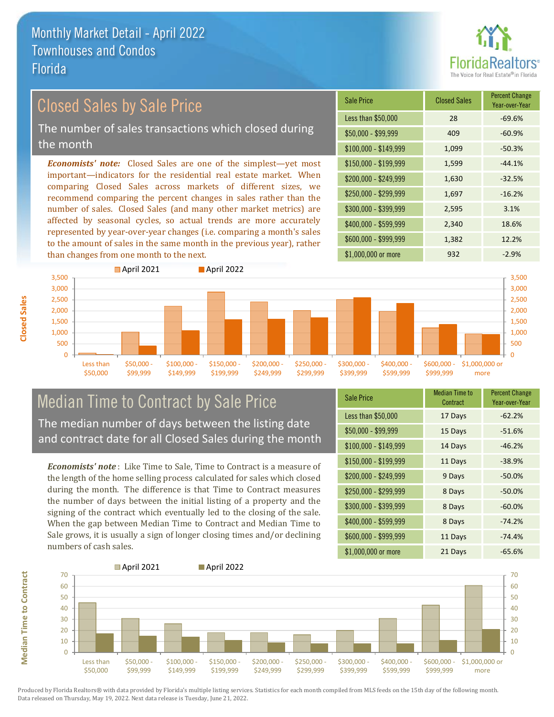

## Closed Sales by Sale Price

The number of sales transactions which closed during the month

*Economists' note:* Closed Sales are one of the simplest—yet most important—indicators for the residential real estate market. When comparing Closed Sales across markets of different sizes, we recommend comparing the percent changes in sales rather than the number of sales. Closed Sales (and many other market metrics) are affected by seasonal cycles, so actual trends are more accurately represented by year-over-year changes (i.e. comparing a month's sales to the amount of sales in the same month in the previous year), rather than changes from one month to the next.

| <b>Sale Price</b>     | <b>Closed Sales</b> | <b>Percent Change</b><br>Year-over-Year |
|-----------------------|---------------------|-----------------------------------------|
| Less than \$50,000    | 28                  | $-69.6%$                                |
| \$50,000 - \$99,999   | 409                 | $-60.9%$                                |
| $$100,000 - $149,999$ | 1,099               | $-50.3%$                                |
| $$150,000 - $199,999$ | 1,599               | $-44.1%$                                |
| \$200,000 - \$249,999 | 1,630               | $-32.5%$                                |
| \$250,000 - \$299,999 | 1,697               | $-16.2%$                                |
| \$300,000 - \$399,999 | 2,595               | 3.1%                                    |
| \$400,000 - \$599,999 | 2,340               | 18.6%                                   |
| \$600,000 - \$999,999 | 1,382               | 12.2%                                   |
| \$1,000,000 or more   | 932                 | $-2.9%$                                 |



## Median Time to Contract by Sale Price The median number of days between the listing date

and contract date for all Closed Sales during the month

*Economists' note* : Like Time to Sale, Time to Contract is a measure of the length of the home selling process calculated for sales which closed during the month. The difference is that Time to Contract measures the number of days between the initial listing of a property and the signing of the contract which eventually led to the closing of the sale. When the gap between Median Time to Contract and Median Time to Sale grows, it is usually a sign of longer closing times and/or declining numbers of cash sales.

| <b>Sale Price</b>     | <b>Median Time to</b><br>Contract | <b>Percent Change</b><br>Year-over-Year |
|-----------------------|-----------------------------------|-----------------------------------------|
| Less than \$50,000    | 17 Days                           | $-62.2%$                                |
| \$50,000 - \$99,999   | 15 Days                           | $-51.6%$                                |
| $$100,000 - $149,999$ | 14 Days                           | $-46.2%$                                |
| $$150,000 - $199,999$ | 11 Days                           | $-38.9%$                                |
| \$200,000 - \$249,999 | 9 Days                            | $-50.0%$                                |
| \$250,000 - \$299,999 | 8 Days                            | $-50.0%$                                |
| \$300,000 - \$399,999 | 8 Days                            | $-60.0%$                                |
| \$400,000 - \$599,999 | 8 Days                            | $-74.2%$                                |
| \$600,000 - \$999,999 | 11 Days                           | $-74.4%$                                |
| \$1,000,000 or more   | 21 Days                           | $-65.6%$                                |



Produced by Florida Realtors® with data provided by Florida's multiple listing services. Statistics for each month compiled from MLS feeds on the 15th day of the following month. Data released on Thursday, May 19, 2022. Next data release is Tuesday, June 21, 2022.

**Median Time to Contract**

**Median Time to Contract**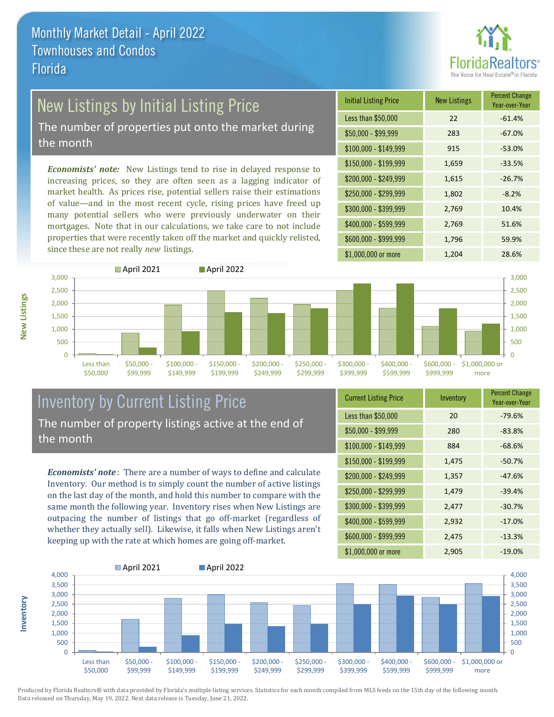

# New Listings by Initial Listing Price

The number of properties put onto the market during the month

*Economists' note:* New Listings tend to rise in delayed response to increasing prices, so they are often seen as a lagging indicator of market health. As prices rise, potential sellers raise their estimations of value—and in the most recent cycle, rising prices have freed up many potential sellers who were previously underwater on their mortgages. Note that in our calculations, we take care to not include properties that were recently taken off the market and quickly relisted, since these are not really *new* listings.

| <b>Initial Listing Price</b> | <b>New Listings</b> | <b>Percent Change</b><br>Year-over-Year |
|------------------------------|---------------------|-----------------------------------------|
| Less than \$50,000           | 22                  | $-61.4%$                                |
| \$50,000 - \$99,999          | 283                 | $-67.0%$                                |
| $$100,000 - $149,999$        | 915                 | $-53.0%$                                |
| $$150,000 - $199,999$        | 1,659               | $-33.5%$                                |
| \$200,000 - \$249,999        | 1,615               | $-26.7%$                                |
| \$250,000 - \$299,999        | 1,802               | $-8.2%$                                 |
| \$300,000 - \$399,999        | 2,769               | 10.4%                                   |
| \$400,000 - \$599,999        | 2,769               | 51.6%                                   |
| \$600,000 - \$999,999        | 1,796               | 59.9%                                   |
| \$1,000,000 or more          | 1,204               | 28.6%                                   |



### Inventory by Current Listing Price The number of property listings active at the end of the month

*Economists' note* : There are a number of ways to define and calculate Inventory. Our method is to simply count the number of active listings on the last day of the month, and hold this number to compare with the same month the following year. Inventory rises when New Listings are outpacing the number of listings that go off-market (regardless of whether they actually sell). Likewise, it falls when New Listings aren't keeping up with the rate at which homes are going off-market.

| <b>Current Listing Price</b> | Inventory | <b>Percent Change</b><br>Year-over-Year |
|------------------------------|-----------|-----------------------------------------|
| Less than \$50,000           | 20        | $-79.6%$                                |
| $$50,000 - $99,999$          | 280       | $-83.8%$                                |
| $$100,000 - $149,999$        | 884       | $-68.6%$                                |
| \$150,000 - \$199,999        | 1,475     | $-50.7%$                                |
| \$200,000 - \$249,999        | 1,357     | $-47.6%$                                |
| \$250,000 - \$299,999        | 1,479     | $-39.4%$                                |
| \$300,000 - \$399,999        | 2,477     | $-30.7%$                                |
| \$400,000 - \$599,999        | 2,932     | $-17.0%$                                |
| \$600,000 - \$999,999        | 2,475     | $-13.3%$                                |
| \$1,000,000 or more          | 2,905     | $-19.0%$                                |



Produced by Florida Realtors® with data provided by Florida's multiple listing services. Statistics for each month compiled from MLS feeds on the 15th day of the following month. Data released on Thursday, May 19, 2022. Next data release is Tuesday, June 21, 2022.

**Inventory**